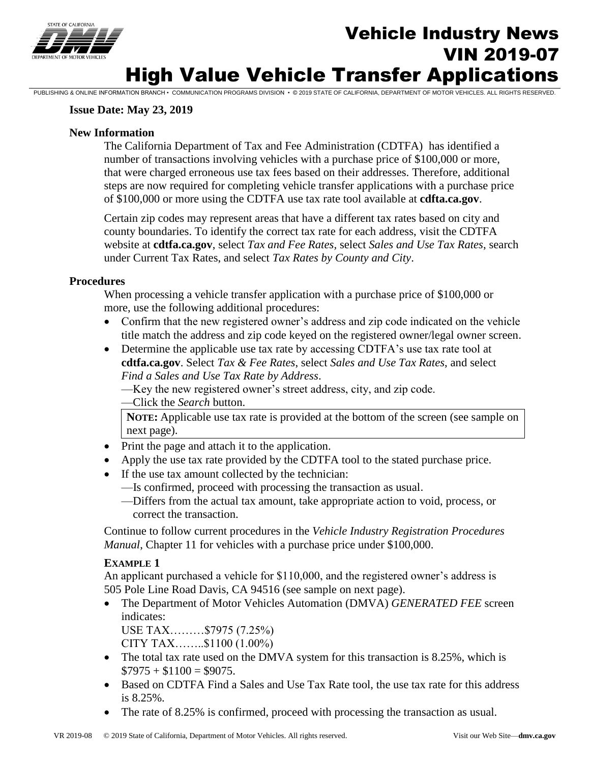

# Vehicle Industry News VIN 2019-07 High Value Vehicle Transfer Applications

PUBLISHING & ONLINE INFORMATION BRANCH • COMMUNICATION PROGRAMS DIVISION • © 2019 STATE OF CALIFORNIA, DEPARTMENT OF MOTOR VEHICLES. ALL RIGHTS RESERVED.

#### **Issue Date: May 23, 2019**

#### **New Information**

The California Department of Tax and Fee Administration (CDTFA) has identified a number of transactions involving vehicles with a purchase price of \$100,000 or more, that were charged erroneous use tax fees based on their addresses. Therefore, additional steps are now required for completing vehicle transfer applications with a purchase price of \$100,000 or more using the CDTFA use tax rate tool available at **cdfta.ca.gov**.

Certain zip codes may represent areas that have a different tax rates based on city and county boundaries. To identify the correct tax rate for each address, visit the CDTFA website at **[cdtfa.ca.gov](http://www.cdtfa.ca.gov/)**, select *Tax and Fee Rates,* select *Sales and Use Tax Rates*, search under Current Tax Rates, and select *Tax Rates by County and City*.

#### **Procedures**

When processing a vehicle transfer application with a purchase price of \$100,000 or more, use the following additional procedures:

- Confirm that the new registered owner's address and zip code indicated on the vehicle title match the address and zip code keyed on the registered owner/legal owner screen.
- Determine the applicable use tax rate by accessing CDTFA's use tax rate tool at **[cdtfa.ca.gov](http://www.cdtfa.ca.gov/)**. Select *Tax & Fee Rates*, select *Sales and Use Tax Rates*, and select *Find a Sales and Use Tax Rate by Address*.
	- —Key the new registered owner's street address, city, and zip code.
	- —Click the *Search* button.

**NOTE:** Applicable use tax rate is provided at the bottom of the screen (see sample on next page).

- Print the page and attach it to the application.
- Apply the use tax rate provided by the CDTFA tool to the stated purchase price.
- If the use tax amount collected by the technician:
	- —Is confirmed, proceed with processing the transaction as usual.
	- —Differs from the actual tax amount, take appropriate action to void, process, or correct the transaction.

Continue to follow current procedures in the *Vehicle Industry Registration Procedures Manual*, Chapter 11 for vehicles with a purchase price under \$100,000.

#### **EXAMPLE 1**

An applicant purchased a vehicle for \$110,000, and the registered owner's address is 505 Pole Line Road Davis, CA 94516 (see sample on next page).

- The Department of Motor Vehicles Automation (DMVA) *GENERATED FEE* screen indicates:
	- USE TAX………\$7975 (7.25%)

CITY TAX……..\$1100 (1.00%)

- The total tax rate used on the DMVA system for this transaction is 8.25%, which is  $\$7975 + \$1100 = \$9075.$
- Based on CDTFA Find a Sales and Use Tax Rate tool, the use tax rate for this address is 8.25%.
- The rate of 8.25% is confirmed, proceed with processing the transaction as usual.